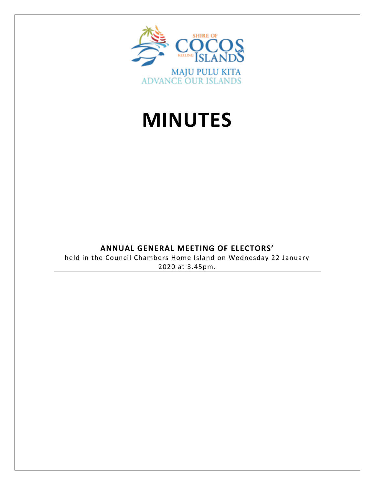

# **MINUTES**

# **ANNUAL GENERAL MEETING OF ELECTORS'**

held in the Council Chambers Home Island on Wednesday 22 January 2020 at 3.45pm.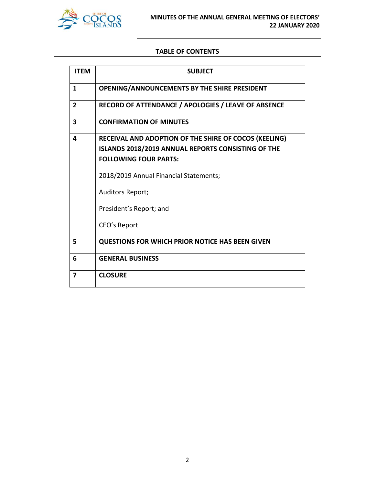

#### **TABLE OF CONTENTS**

| <b>ITEM</b>    | <b>SUBJECT</b>                                                                                                                                     |
|----------------|----------------------------------------------------------------------------------------------------------------------------------------------------|
| 1              | OPENING/ANNOUNCEMENTS BY THE SHIRE PRESIDENT                                                                                                       |
| $\overline{2}$ | RECORD OF ATTENDANCE / APOLOGIES / LEAVE OF ABSENCE                                                                                                |
| 3              | <b>CONFIRMATION OF MINUTES</b>                                                                                                                     |
| 4              | RECEIVAL AND ADOPTION OF THE SHIRE OF COCOS (KEELING)<br><b>ISLANDS 2018/2019 ANNUAL REPORTS CONSISTING OF THE</b><br><b>FOLLOWING FOUR PARTS:</b> |
|                | 2018/2019 Annual Financial Statements;                                                                                                             |
|                | Auditors Report;                                                                                                                                   |
|                | President's Report; and                                                                                                                            |
|                | CEO's Report                                                                                                                                       |
| 5              | <b>QUESTIONS FOR WHICH PRIOR NOTICE HAS BEEN GIVEN</b>                                                                                             |
| 6              | <b>GENERAL BUSINESS</b>                                                                                                                            |
| 7              | <b>CLOSURE</b>                                                                                                                                     |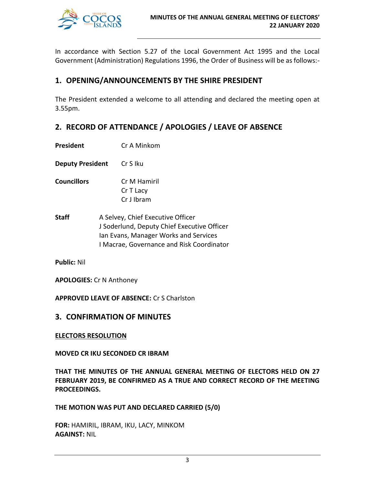

In accordance with Section 5.27 of the Local Government Act 1995 and the Local Government (Administration) Regulations 1996, the Order of Business will be as follows:-

# **1. OPENING/ANNOUNCEMENTS BY THE SHIRE PRESIDENT**

The President extended a welcome to all attending and declared the meeting open at 3.55pm.

# **2. RECORD OF ATTENDANCE / APOLOGIES / LEAVE OF ABSENCE**

- **President** Cr A Minkom
- **Deputy President** Cr S Iku
- **Councillors** Cr M Hamiril Cr T Lacy Cr J Ibram
- **Staff** A Selvey, Chief Executive Officer J Soderlund, Deputy Chief Executive Officer Ian Evans, Manager Works and Services I Macrae, Governance and Risk Coordinator

**Public:** Nil

**APOLOGIES:** Cr N Anthoney

**APPROVED LEAVE OF ABSENCE:** Cr S Charlston

# **3. CONFIRMATION OF MINUTES**

**ELECTORS RESOLUTION** 

**MOVED CR IKU SECONDED CR IBRAM**

**THAT THE MINUTES OF THE ANNUAL GENERAL MEETING OF ELECTORS HELD ON 27 FEBRUARY 2019, BE CONFIRMED AS A TRUE AND CORRECT RECORD OF THE MEETING PROCEEDINGS.**

**THE MOTION WAS PUT AND DECLARED CARRIED (5/0)**

**FOR:** HAMIRIL, IBRAM, IKU, LACY, MINKOM **AGAINST:** NIL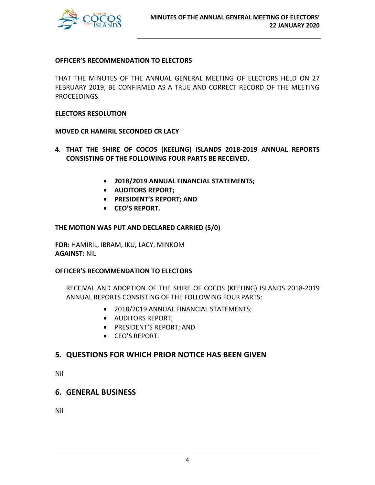

#### **OFFICER'S RECOMMENDATION TO ELECTORS**

THAT THE MINUTES OF THE ANNUAL GENERAL MEETING OF ELECTORS HELD ON 27 FEBRUARY 2019, BE CONFIRMED AS A TRUE AND CORRECT RECORD OF THE MEETING PROCEEDINGS.

#### **ELECTORS RESOLUTION**

#### **MOVED CR HAMIRIL SECONDED CR LACY**

- **4. THAT THE SHIRE OF COCOS (KEELING) ISLANDS 2018-2019 ANNUAL REPORTS CONSISTING OF THE FOLLOWING FOUR PARTS BE RECEIVED.** 
	- **2018/2019 ANNUAL FINANCIAL STATEMENTS;**
	- **AUDITORS REPORT;**
	- **PRESIDENT'S REPORT; AND**
	- **CEO'S REPORT.**

#### **THE MOTION WAS PUT AND DECLARED CARRIED (5/0)**

**FOR:** HAMIRIL, IBRAM, IKU, LACY, MINKOM **AGAINST:** NIL

#### **OFFICER'S RECOMMENDATION TO ELECTORS**

RECEIVAL AND ADOPTION OF THE SHIRE OF COCOS (KEELING) ISLANDS 2018-2019 ANNUAL REPORTS CONSISTING OF THE FOLLOWING FOUR PARTS:

- 2018/2019 ANNUAL FINANCIAL STATEMENTS;
- AUDITORS REPORT;
- PRESIDENT'S REPORT; AND
- CEO'S REPORT.

## **5. QUESTIONS FOR WHICH PRIOR NOTICE HAS BEEN GIVEN**

Nil

# **6. GENERAL BUSINESS**

Nil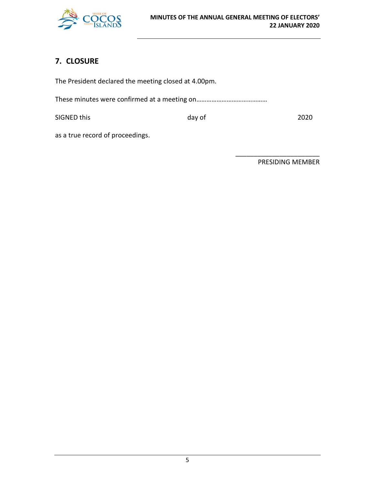

# **7. CLOSURE**

The President declared the meeting closed at 4.00pm. These minutes were confirmed at a meeting on…………………………………… SIGNED this day of 2020 as a true record of proceedings.

PRESIDING MEMBER

\_\_\_\_\_\_\_\_\_\_\_\_\_\_\_\_\_\_\_\_\_\_\_